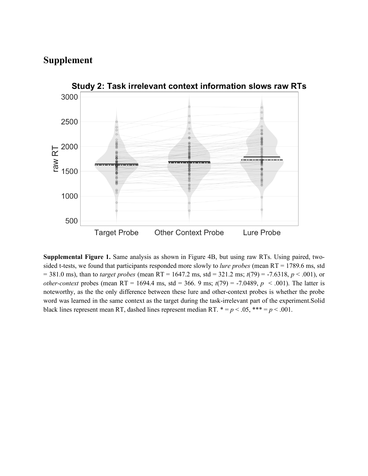## **Supplement**



Study 2: Task irrelevant context information slows raw RTs

**Supplemental Figure 1.** Same analysis as shown in Figure 4B, but using raw RTs. Using paired, twosided t-tests, we found that participants responded more slowly to *lure probes* (mean RT = 1789.6 ms, std = 381.0 ms), than to *target probes* (mean RT = 1647.2 ms, std = 321.2 ms; *t*(79) = -7.6318, *p* < .001), or *other-context* probes (mean RT = 1694.4 ms, std = 366. 9 ms;  $t(79)$  = -7.0489,  $p < .001$ ). The latter is noteworthy, as the the only difference between these lure and other-context probes is whether the probe word was learned in the same context as the target during the task-irrelevant part of the experiment.Solid black lines represent mean RT, dashed lines represent median RT.  $* = p < .05$ ,  $** = p < .001$ .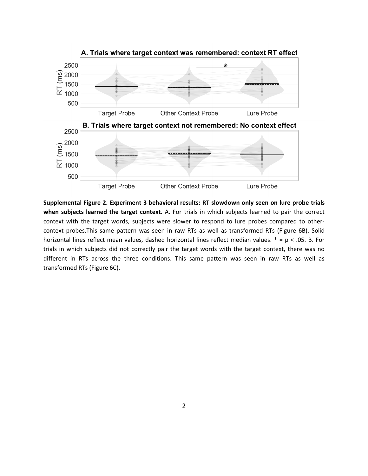

**Supplemental Figure 2. Experiment 3 behavioral results: RT slowdown only seen on lure probe trials when subjects learned the target context.** A. For trials in which subjects learned to pair the correct context with the target words, subjects were slower to respond to lure probes compared to othercontext probes.This same pattern was seen in raw RTs as well as transformed RTs (Figure 6B). Solid horizontal lines reflect mean values, dashed horizontal lines reflect median values. \* = p < .05. B. For trials in which subjects did not correctly pair the target words with the target context, there was no different in RTs across the three conditions. This same pattern was seen in raw RTs as well as transformed RTs (Figure 6C).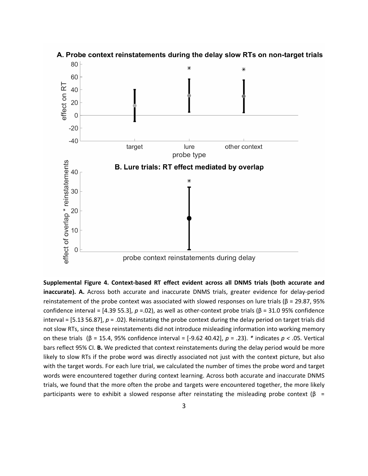

## A. Probe context reinstatements during the delay slow RTs on non-target trials

**Supplemental Figure 4. Context-based RT effect evident across all DNMS trials (both accurate and inaccurate). A.** Across both accurate and inaccurate DNMS trials, greater evidence for delay-period reinstatement of the probe context was associated with slowed responses on lure trials ( $β = 29.87$ , 95% confidence interval = [4.39 55.3], *p* =.02), as well as other-context probe trials (β = 31.0 95% confidence interval = [5.13 56.87], *p* = .02). Reinstating the probe context during the delay period on target trials did not slow RTs, since these reinstatements did not introduce misleading information into working memory on these trials (β = 15.4, 95% confidence interval = [-9.62 40.42], *p* = .23). *\** indicates *p <* .05. Vertical bars reflect 95% CI. **B.** We predicted that context reinstatements during the delay period would be more likely to slow RTs if the probe word was directly associated not just with the context picture, but also with the target words. For each lure trial, we calculated the number of times the probe word and target words were encountered together during context learning. Across both accurate and inaccurate DNMS trials, we found that the more often the probe and targets were encountered together, the more likely participants were to exhibit a slowed response after reinstating the misleading probe context ( $\beta$  =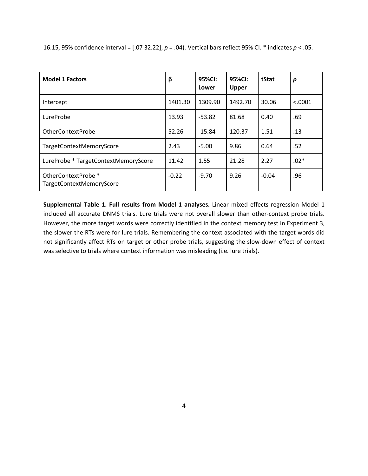| <b>Model 1 Factors</b>                          | β       | 95%CI:<br>Lower | 95%CI:<br>Upper | tStat   | p       |
|-------------------------------------------------|---------|-----------------|-----------------|---------|---------|
| Intercept                                       | 1401.30 | 1309.90         | 1492.70         | 30.06   | < .0001 |
| LureProbe                                       | 13.93   | $-53.82$        | 81.68           | 0.40    | .69     |
| OtherContextProbe                               | 52.26   | $-15.84$        | 120.37          | 1.51    | .13     |
| TargetContextMemoryScore                        | 2.43    | $-5.00$         | 9.86            | 0.64    | .52     |
| LureProbe * TargetContextMemoryScore            | 11.42   | 1.55            | 21.28           | 2.27    | $.02*$  |
| OtherContextProbe *<br>TargetContextMemoryScore | $-0.22$ | $-9.70$         | 9.26            | $-0.04$ | .96     |

16.15, 95% confidence interval = [.07 32.22], *p* = .04). Vertical bars reflect 95% CI. \* indicates *p* < .05.

**Supplemental Table 1. Full results from Model 1 analyses.** Linear mixed effects regression Model 1 included all accurate DNMS trials. Lure trials were not overall slower than other-context probe trials. However, the more target words were correctly identified in the context memory test in Experiment 3, the slower the RTs were for lure trials. Remembering the context associated with the target words did not significantly affect RTs on target or other probe trials, suggesting the slow-down effect of context was selective to trials where context information was misleading (i.e. lure trials).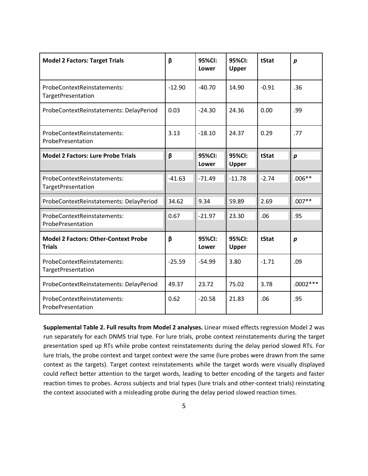| <b>Model 2 Factors: Target Trials</b>                        | β        | 95%CI:<br>Lower | 95%CI:<br>Upper | tStat   | $\boldsymbol{p}$ |
|--------------------------------------------------------------|----------|-----------------|-----------------|---------|------------------|
| ProbeContextReinstatements:<br>TargetPresentation            | $-12.90$ | $-40.70$        | 14.90           | $-0.91$ | .36              |
| ProbeContextReinstatements: DelayPeriod                      | 0.03     | $-24.30$        | 24.36           | 0.00    | .99              |
| ProbeContextReinstatements:<br>ProbePresentation             | 3.13     | $-18.10$        | 24.37           | 0.29    | .77              |
| <b>Model 2 Factors: Lure Probe Trials</b>                    | β        | 95%CI:<br>Lower | 95%CI:<br>Upper | tStat   | $\boldsymbol{p}$ |
| ProbeContextReinstatements:<br>TargetPresentation            | $-41.63$ | $-71.49$        | $-11.78$        | $-2.74$ | $.006**$         |
| ProbeContextReinstatements: DelayPeriod                      | 34.62    | 9.34            | 59.89           | 2.69    | $.007**$         |
| ProbeContextReinstatements:<br>ProbePresentation             | 0.67     | $-21.97$        | 23.30           | .06     | .95              |
| <b>Model 2 Factors: Other-Context Probe</b><br><b>Trials</b> | β        | 95%CI:<br>Lower | 95%CI:<br>Upper | tStat   | $\boldsymbol{p}$ |
| ProbeContextReinstatements:<br>TargetPresentation            | $-25.59$ | $-54.99$        | 3.80            | $-1.71$ | .09              |
| ProbeContextReinstatements: DelayPeriod                      | 49.37    | 23.72           | 75.02           | 3.78    | $.0002***$       |
| ProbeContextReinstatements:<br>ProbePresentation             | 0.62     | $-20.58$        | 21.83           | .06     | .95              |

**Supplemental Table 2. Full results from Model 2 analyses.** Linear mixed effects regression Model 2 was run separately for each DNMS trial type. For lure trials, probe context reinstatements during the target presentation sped up RTs while probe context reinstatements during the delay period slowed RTs. For lure trials, the probe context and target context were the same (lure probes were drawn from the same context as the targets). Target context reinstatements while the target words were visually displayed could reflect better attention to the target words, leading to better encoding of the targets and faster reaction times to probes. Across subjects and trial types (lure trials and other-context trials) reinstating the context associated with a misleading probe during the delay period slowed reaction times.